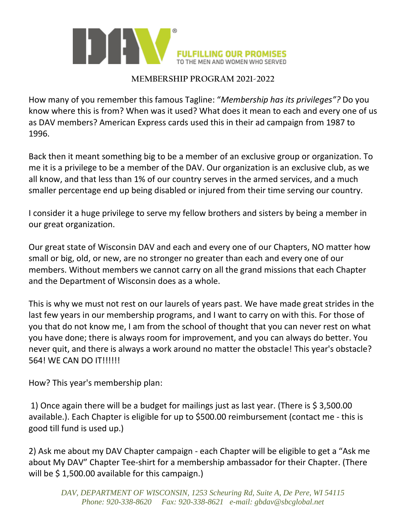

## **MEMBERSHIP PROGRAM 2021-2022**

How many of you remember this famous Tagline: "*Membership has its privileges"?* Do you know where this is from? When was it used? What does it mean to each and every one of us as DAV members? American Express cards used this in their ad campaign from 1987 to 1996.

Back then it meant something big to be a member of an exclusive group or organization. To me it is a privilege to be a member of the DAV. Our organization is an exclusive club, as we all know, and that less than 1% of our country serves in the armed services, and a much smaller percentage end up being disabled or injured from their time serving our country.

I consider it a huge privilege to serve my fellow brothers and sisters by being a member in our great organization.

Our great state of Wisconsin DAV and each and every one of our Chapters, NO matter how small or big, old, or new, are no stronger no greater than each and every one of our members. Without members we cannot carry on all the grand missions that each Chapter and the Department of Wisconsin does as a whole.

This is why we must not rest on our laurels of years past. We have made great strides in the last few years in our membership programs, and I want to carry on with this. For those of you that do not know me, I am from the school of thought that you can never rest on what you have done; there is always room for improvement, and you can always do better. You never quit, and there is always a work around no matter the obstacle! This year's obstacle? 564! WE CAN DO IT!!!!!!

How? This year's membership plan:

1) Once again there will be a budget for mailings just as last year. (There is \$ 3,500.00 available.). Each Chapter is eligible for up to \$500.00 reimbursement (contact me - this is good till fund is used up.)

2) Ask me about my DAV Chapter campaign - each Chapter will be eligible to get a "Ask me about My DAV" Chapter Tee-shirt for a membership ambassador for their Chapter. (There will be \$ 1,500.00 available for this campaign.)